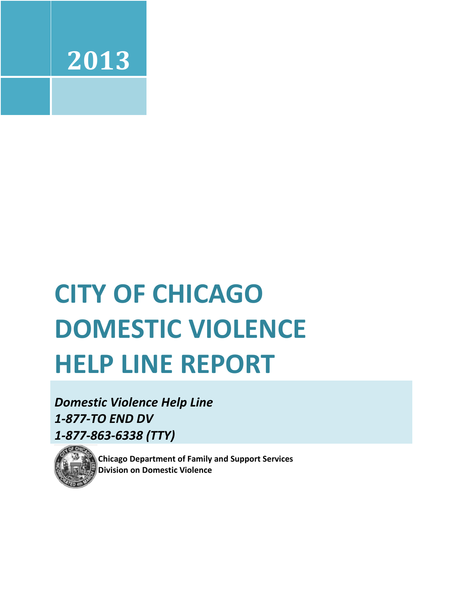

# **CITY OF CHICAGO DOMESTIC VIOLENCE HELP LINE REPORT**

*Domestic Violence Help Line 1-877-TO END DV 1-877-863-6338 (TTY)*



**Chicago Department of Family and Support Services Division on Domestic Violence**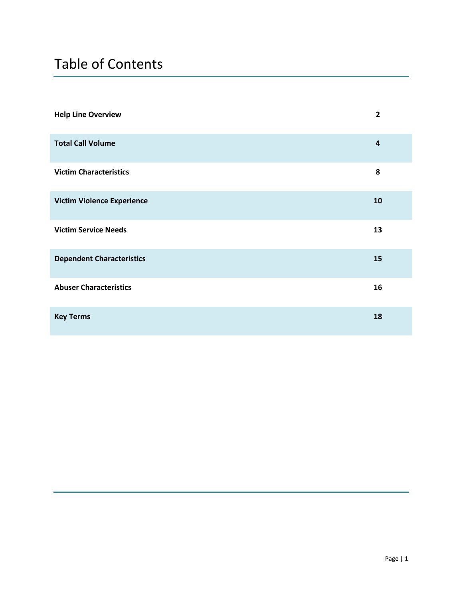# Table of Contents

| <b>Help Line Overview</b>         | $\overline{2}$ |
|-----------------------------------|----------------|
| <b>Total Call Volume</b>          | $\overline{a}$ |
| <b>Victim Characteristics</b>     | 8              |
| <b>Victim Violence Experience</b> | 10             |
| <b>Victim Service Needs</b>       | 13             |
| <b>Dependent Characteristics</b>  | 15             |
| <b>Abuser Characteristics</b>     | 16             |
| <b>Key Terms</b>                  | 18             |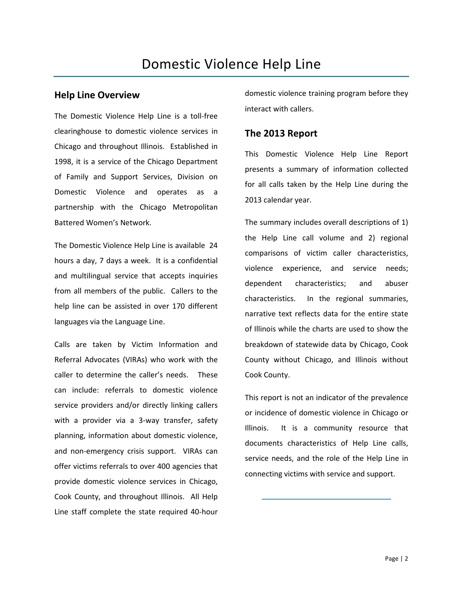#### **Help Line Overview**

The Domestic Violence Help Line is a toll-free clearinghouse to domestic violence services in Chicago and throughout Illinois. Established in 1998, it is a service of the Chicago Department of Family and Support Services, Division on Domestic Violence and operates as a partnership with the Chicago Metropolitan Battered Women's Network.

The Domestic Violence Help Line is available 24 hours a day, 7 days a week. It is a confidential and multilingual service that accepts inquiries from all members of the public. Callers to the help line can be assisted in over 170 different languages via the Language Line.

Calls are taken by Victim Information and Referral Advocates (VIRAs) who work with the caller to determine the caller's needs. These can include: referrals to domestic violence service providers and/or directly linking callers with a provider via a 3-way transfer, safety planning, information about domestic violence, and non-emergency crisis support. VIRAs can offer victims referrals to over 400 agencies that provide domestic violence services in Chicago, Cook County, and throughout Illinois. All Help Line staff complete the state required 40-hour

domestic violence training program before they interact with callers.

#### **The 2013 Report**

This Domestic Violence Help Line Report presents a summary of information collected for all calls taken by the Help Line during the 2013 calendar year.

The summary includes overall descriptions of 1) the Help Line call volume and 2) regional comparisons of victim caller characteristics, violence experience, and service needs; dependent characteristics; and abuser characteristics. In the regional summaries, narrative text reflects data for the entire state of Illinois while the charts are used to show the breakdown of statewide data by Chicago, Cook County without Chicago, and Illinois without Cook County.

This report is not an indicator of the prevalence or incidence of domestic violence in Chicago or Illinois. It is a community resource that documents characteristics of Help Line calls, service needs, and the role of the Help Line in connecting victims with service and support.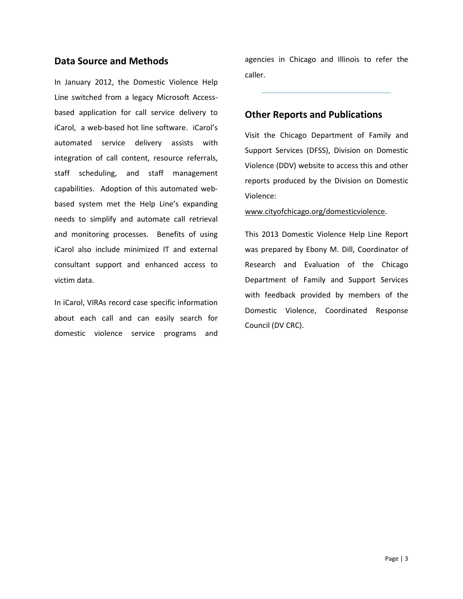#### **Data Source and Methods**

In January 2012, the Domestic Violence Help Line switched from a legacy Microsoft Accessbased application for call service delivery to iCarol, a web-based hot line software. iCarol's automated service delivery assists with integration of call content, resource referrals, staff scheduling, and staff management capabilities. Adoption of this automated webbased system met the Help Line's expanding needs to simplify and automate call retrieval and monitoring processes. Benefits of using iCarol also include minimized IT and external consultant support and enhanced access to victim data.

In iCarol, VIRAs record case specific information about each call and can easily search for domestic violence service programs and agencies in Chicago and Illinois to refer the caller.

#### **Other Reports and Publications**

Visit the Chicago Department of Family and Support Services (DFSS), Division on Domestic Violence (DDV) website to access this and other reports produced by the Division on Domestic Violence:

www.cityofchicago.org/domesticviolence.

This 2013 Domestic Violence Help Line Report was prepared by Ebony M. Dill, Coordinator of Research and Evaluation of the Chicago Department of Family and Support Services with feedback provided by members of the Domestic Violence, Coordinated Response Council (DV CRC).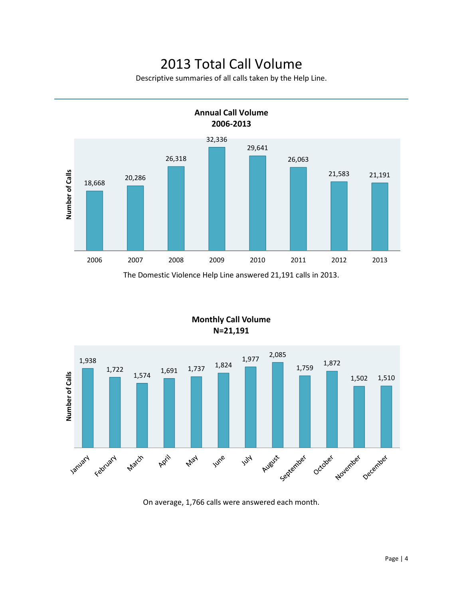### 2013 Total Call Volume

Descriptive summaries of all calls taken by the Help Line.





#### **Monthly Call Volume N=21,191**

On average, 1,766 calls were answered each month.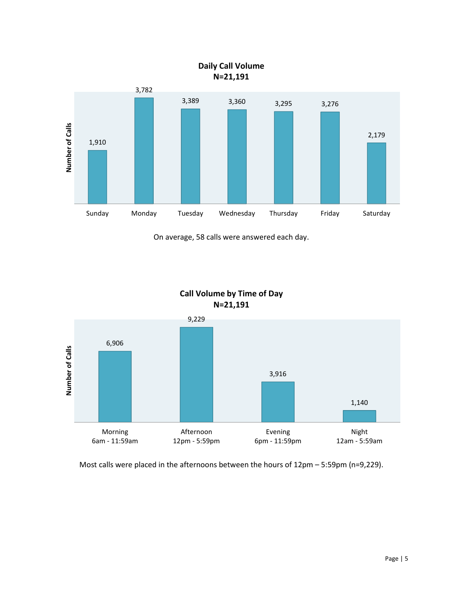

On average, 58 calls were answered each day.

**Call Volume by Time of Day N=21,191**



Most calls were placed in the afternoons between the hours of 12pm – 5:59pm (n=9,229).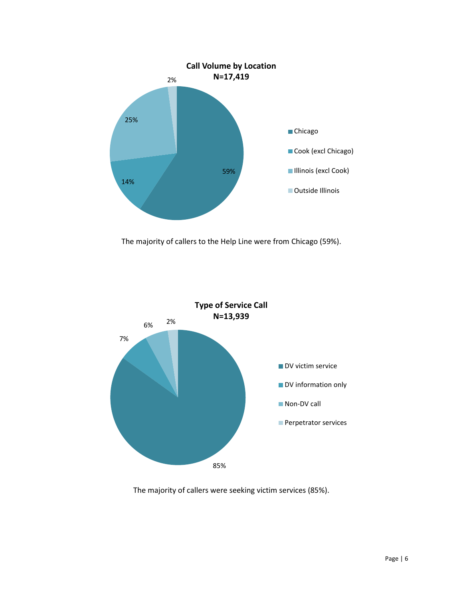

The majority of callers to the Help Line were from Chicago (59%).



The majority of callers were seeking victim services (85%).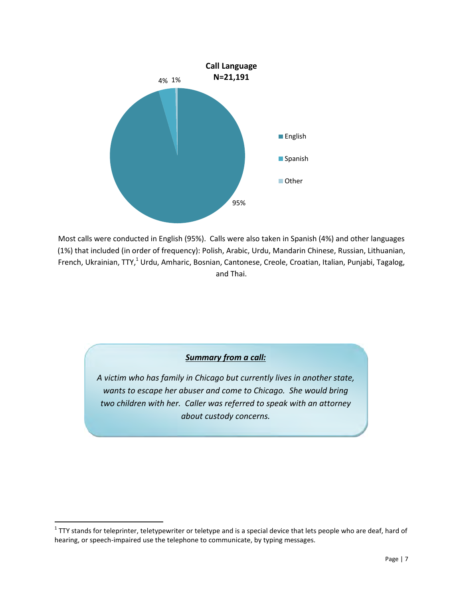

Most calls were conducted in English (95%). Calls were also taken in Spanish (4%) and other languages (1%) that included (in order of frequency): Polish, Arabic, Urdu, Mandarin Chinese, Russian, Lithuanian, French, Ukrainian, TTY,<sup>1</sup> Urdu, Amharic, Bosnian, Cantonese, Creole, Croatian, Italian, Punjabi, Tagalog, and Thai.

#### *Summary from a call:*

*A victim who has family in Chicago but currently lives in another state, wants to escape her abuser and come to Chicago. She would bring two children with her. Caller was referred to speak with an attorney about custody concerns.* 

l

 $^1$  TTY stands for teleprinter, teletypewriter or teletype and is a special device that lets people who are deaf, hard of hearing, or speech-impaired use the telephone to communicate, by typing messages.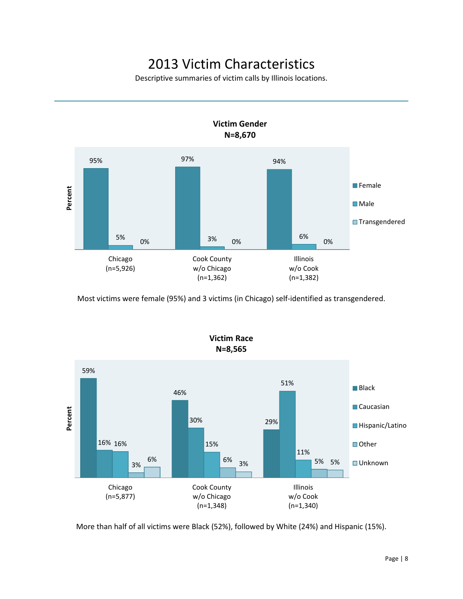# 2013 Victim Characteristics

Descriptive summaries of victim calls by Illinois locations.



Most victims were female (95%) and 3 victims (in Chicago) self-identified as transgendered.



More than half of all victims were Black (52%), followed by White (24%) and Hispanic (15%).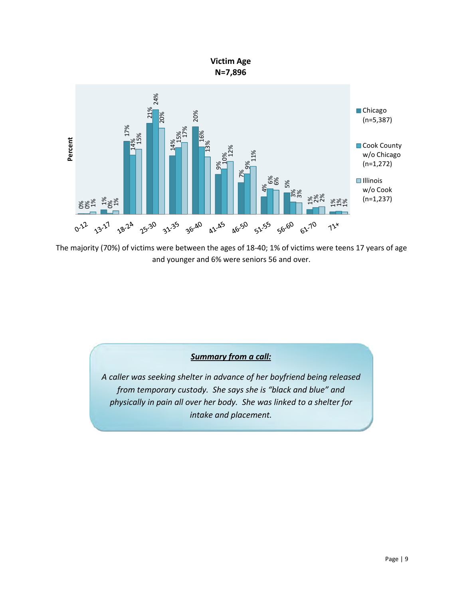

The majority (70%) of victims were between the ages of 18-40; 1% of victims were teens 17 years of age and younger and 6% were seniors 56 and over.

#### *Summary from a call:*

*A caller was seeking shelter in advance of her boyfriend being released from temporary custody. She says she is "black and blue" and physically in pain all over her body. She was linked to a shelter for intake and placement.*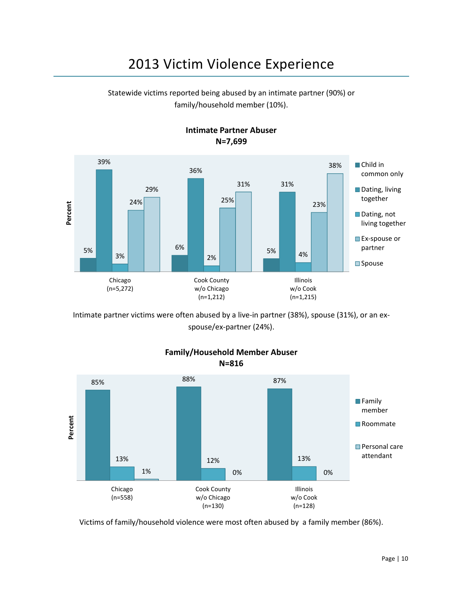# 2013 Victim Violence Experience

Statewide victims reported being abused by an intimate partner (90%) or family/household member (10%).



**Intimate Partner Abuser N=7,699**

Intimate partner victims were often abused by a live-in partner (38%), spouse (31%), or an exspouse/ex-partner (24%).



**Family/Household Member Abuser N=816**

Victims of family/household violence were most often abused by a family member (86%).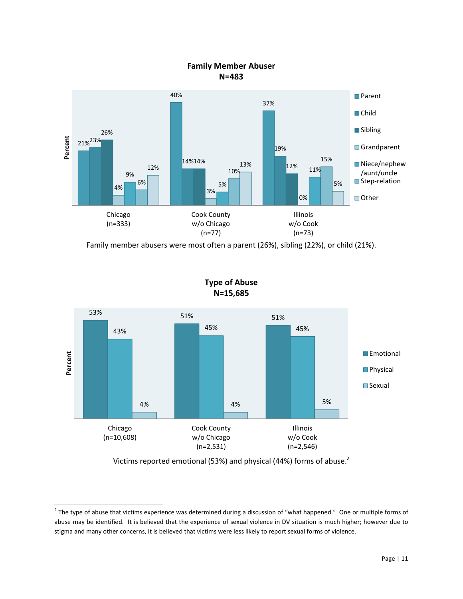

Family member abusers were most often a parent (26%), sibling (22%), or child (21%).



**Type of Abuse N=15,685**

Victims reported emotional (53%) and physical (44%) forms of abuse.<sup>2</sup>

 $\overline{a}$ 

 $^2$  The type of abuse that victims experience was determined during a discussion of "what happened." One or multiple forms of abuse may be identified. It is believed that the experience of sexual violence in DV situation is much higher; however due to stigma and many other concerns, it is believed that victims were less likely to report sexual forms of violence.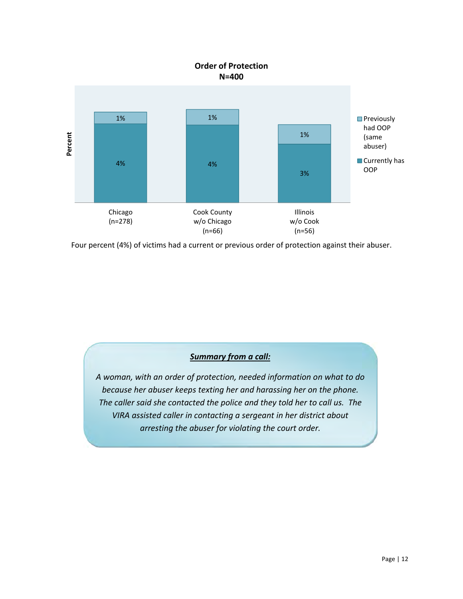

Four percent (4%) of victims had a current or previous order of protection against their abuser.

#### *Summary from a call:*

*A woman, with an order of protection, needed information on what to do because her abuser keeps texting her and harassing her on the phone. The caller said she contacted the police and they told her to call us. The VIRA assisted caller in contacting a sergeant in her district about arresting the abuser for violating the court order.*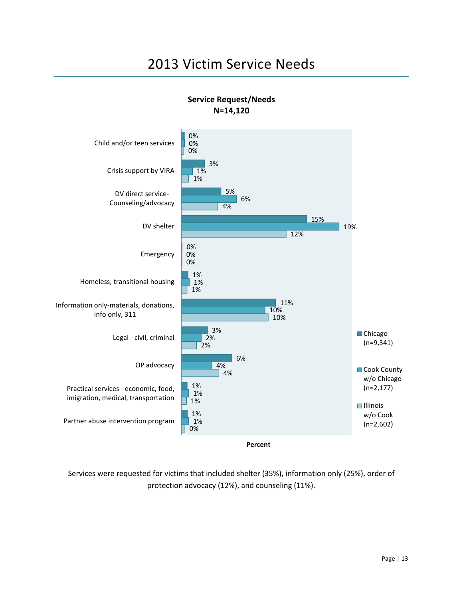# 2013 Victim Service Needs



**Service Request/Needs N=14,120**

Services were requested for victims that included shelter (35%), information only (25%), order of protection advocacy (12%), and counseling (11%).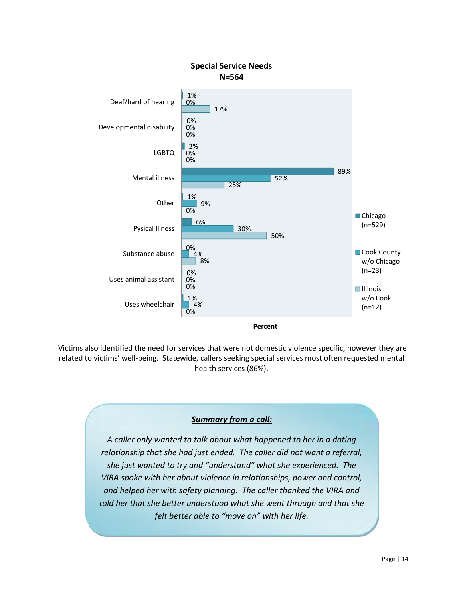

 Victims also identified the need for services that were not domestic violence specific, however they are related to victims' well-being. Statewide, callers seeking special services most often requested mental health services (86%).

#### *Summary from a call:*

*A caller only wanted to talk about what happened to her in a dating relationship that she had just ended. The caller did not want a referral, she just wanted to try and "understand" what she experienced. The VIRA spoke with her about violence in relationships, power and control, and helped her with safety planning. The caller thanked the VIRA and told her that she better understood what she went through and that she felt better able to "move on" with her life.*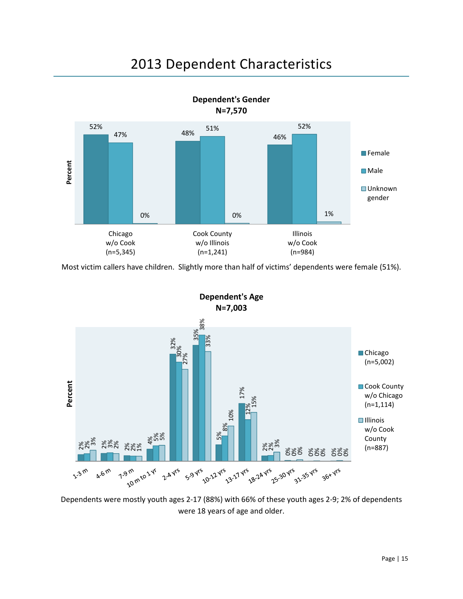### 2013 Dependent Characteristics



Most victim callers have children. Slightly more than half of victims' dependents were female (51%).



Dependents were mostly youth ages 2-17 (88%) with 66% of these youth ages 2-9; 2% of dependents were 18 years of age and older.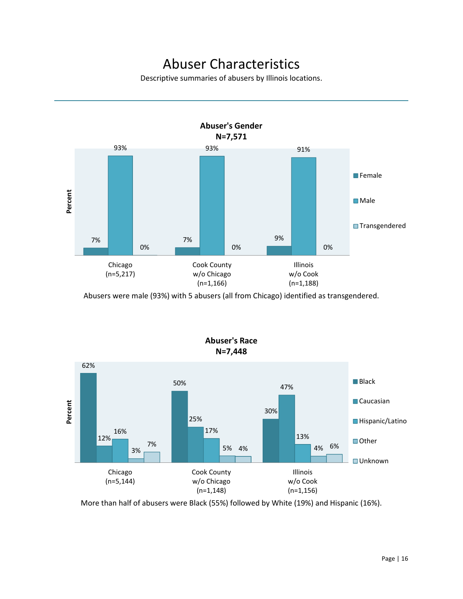## Abuser Characteristics

Descriptive summaries of abusers by Illinois locations.



Abusers were male (93%) with 5 abusers (all from Chicago) identified as transgendered.



More than half of abusers were Black (55%) followed by White (19%) and Hispanic (16%).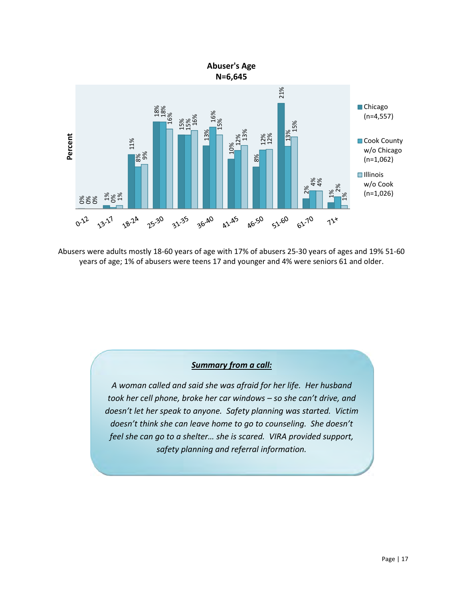

Abusers were adults mostly 18-60 years of age with 17% of abusers 25-30 years of ages and 19% 51-60

#### *Summary from a call:*

*A woman called and said she was afraid for her life. Her husband took her cell phone, broke her car windows – so she can't drive, and doesn't let her speak to anyone. Safety planning was started. Victim doesn't think she can leave home to go to counseling. She doesn't feel she can go to a shelter… she is scared. VIRA provided support, safety planning and referral information.*